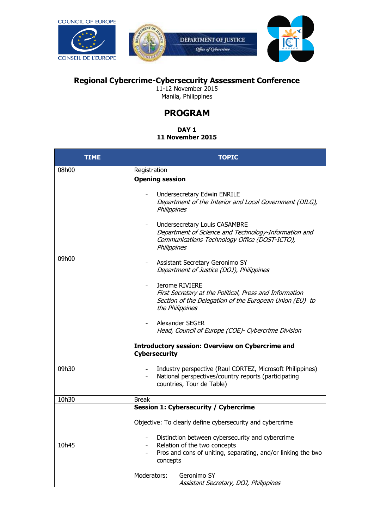**COUNCIL OF EUROPE** 





## **Regional Cybercrime-Cybersecurity Assessment Conference**

11-12 November 2015 Manila, Philippines

## **PROGRAM**

# **DAY 1**

### **11 November 2015**

| <b>TIME</b> | <b>TOPIC</b>                                                                                                                                                 |
|-------------|--------------------------------------------------------------------------------------------------------------------------------------------------------------|
| 08h00       | Registration                                                                                                                                                 |
| 09h00       | <b>Opening session</b>                                                                                                                                       |
|             | Undersecretary Edwin ENRILE<br>Department of the Interior and Local Government (DILG),<br>Philippines                                                        |
|             | Undersecretary Louis CASAMBRE<br>Department of Science and Technology-Information and<br>Communications Technology Office (DOST-ICTO),<br>Philippines        |
|             | Assistant Secretary Geronimo SY<br>Department of Justice (DOJ), Philippines                                                                                  |
|             | Jerome RIVIERE<br>First Secretary at the Political, Press and Information<br>Section of the Delegation of the European Union (EU) to<br>the Philippines      |
|             | Alexander SEGER<br>Head, Council of Europe (COE)- Cybercrime Division                                                                                        |
|             | <b>Introductory session: Overview on Cybercrime and</b><br><b>Cybersecurity</b>                                                                              |
| 09h30       | Industry perspective (Raul CORTEZ, Microsoft Philippines)<br>$\sim$<br>National perspectives/country reports (participating<br>countries, Tour de Table)     |
| 10h30       | <b>Break</b>                                                                                                                                                 |
| 10h45       | <b>Session 1: Cybersecurity / Cybercrime</b>                                                                                                                 |
|             | Objective: To clearly define cybersecurity and cybercrime                                                                                                    |
|             | Distinction between cybersecurity and cybercrime<br>Relation of the two concepts<br>Pros and cons of uniting, separating, and/or linking the two<br>concepts |
|             | Moderators:<br>Geronimo SY<br>Assistant Secretary, DOJ, Philippines                                                                                          |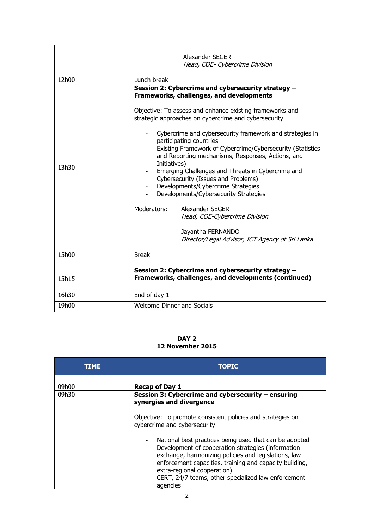|       | Alexander SEGER<br>Head, COE- Cybercrime Division                                                                                                                                                                                                                                                                                                                                                                                                                                                                                                                                                                                                                                                                                                                  |
|-------|--------------------------------------------------------------------------------------------------------------------------------------------------------------------------------------------------------------------------------------------------------------------------------------------------------------------------------------------------------------------------------------------------------------------------------------------------------------------------------------------------------------------------------------------------------------------------------------------------------------------------------------------------------------------------------------------------------------------------------------------------------------------|
| 12h00 | Lunch break                                                                                                                                                                                                                                                                                                                                                                                                                                                                                                                                                                                                                                                                                                                                                        |
| 13h30 | Session 2: Cybercrime and cybersecurity strategy -<br>Frameworks, challenges, and developments<br>Objective: To assess and enhance existing frameworks and<br>strategic approaches on cybercrime and cybersecurity<br>Cybercrime and cybersecurity framework and strategies in<br>participating countries<br>Existing Framework of Cybercrime/Cybersecurity (Statistics<br>and Reporting mechanisms, Responses, Actions, and<br>Initiatives)<br>Emerging Challenges and Threats in Cybercrime and<br>Cybersecurity (Issues and Problems)<br>Developments/Cybercrime Strategies<br>Developments/Cybersecurity Strategies<br>Moderators:<br>Alexander SEGER<br>Head, COE-Cybercrime Division<br>Jayantha FERNANDO<br>Director/Legal Advisor, ICT Agency of Sri Lanka |
| 15h00 | <b>Break</b>                                                                                                                                                                                                                                                                                                                                                                                                                                                                                                                                                                                                                                                                                                                                                       |
| 15h15 | Session 2: Cybercrime and cybersecurity strategy -<br>Frameworks, challenges, and developments (continued)                                                                                                                                                                                                                                                                                                                                                                                                                                                                                                                                                                                                                                                         |
| 16h30 | End of day 1                                                                                                                                                                                                                                                                                                                                                                                                                                                                                                                                                                                                                                                                                                                                                       |
| 19h00 | <b>Welcome Dinner and Socials</b>                                                                                                                                                                                                                                                                                                                                                                                                                                                                                                                                                                                                                                                                                                                                  |

#### **DAY 2 12 November 2015**

| TIME. | <b>TOPIC</b>                                                                                                                                                                                                                                                                                                                                        |
|-------|-----------------------------------------------------------------------------------------------------------------------------------------------------------------------------------------------------------------------------------------------------------------------------------------------------------------------------------------------------|
| 09h00 | <b>Recap of Day 1</b>                                                                                                                                                                                                                                                                                                                               |
| 09h30 | Session 3: Cybercrime and cybersecurity – ensuring<br>synergies and divergence                                                                                                                                                                                                                                                                      |
|       | Objective: To promote consistent policies and strategies on<br>cybercrime and cybersecurity                                                                                                                                                                                                                                                         |
|       | National best practices being used that can be adopted<br>Development of cooperation strategies (information<br>$\blacksquare$<br>exchange, harmonizing policies and legislations, law<br>enforcement capacities, training and capacity building,<br>extra-regional cooperation)<br>CERT, 24/7 teams, other specialized law enforcement<br>agencies |